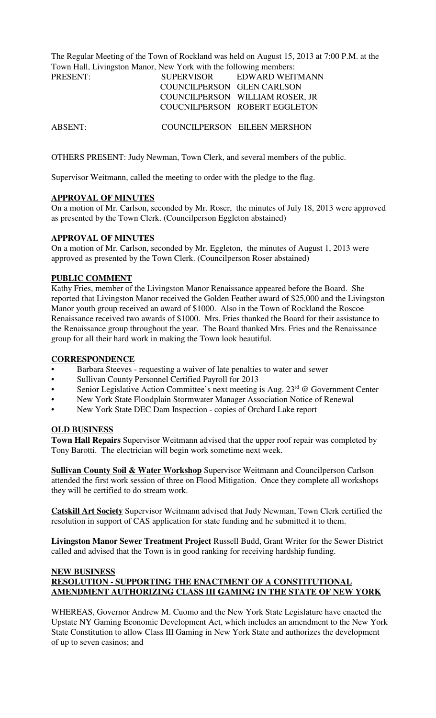The Regular Meeting of the Town of Rockland was held on August 15, 2013 at 7:00 P.M. at the Town Hall, Livingston Manor, New York with the following members:

| PRESENT: | <b>SUPERVISOR</b>          | EDWARD WEITMANN                 |
|----------|----------------------------|---------------------------------|
|          | COUNCILPERSON GLEN CARLSON |                                 |
|          |                            | COUNCILPERSON WILLIAM ROSER, JR |
|          |                            | COUCNILPERSON ROBERT EGGLETON   |
|          |                            |                                 |

ABSENT: COUNCILPERSON EILEEN MERSHON

OTHERS PRESENT: Judy Newman, Town Clerk, and several members of the public.

Supervisor Weitmann, called the meeting to order with the pledge to the flag.

### **APPROVAL OF MINUTES**

On a motion of Mr. Carlson, seconded by Mr. Roser, the minutes of July 18, 2013 were approved as presented by the Town Clerk. (Councilperson Eggleton abstained)

### **APPROVAL OF MINUTES**

On a motion of Mr. Carlson, seconded by Mr. Eggleton, the minutes of August 1, 2013 were approved as presented by the Town Clerk. (Councilperson Roser abstained)

### **PUBLIC COMMENT**

Kathy Fries, member of the Livingston Manor Renaissance appeared before the Board. She reported that Livingston Manor received the Golden Feather award of \$25,000 and the Livingston Manor youth group received an award of \$1000. Also in the Town of Rockland the Roscoe Renaissance received two awards of \$1000. Mrs. Fries thanked the Board for their assistance to the Renaissance group throughout the year. The Board thanked Mrs. Fries and the Renaissance group for all their hard work in making the Town look beautiful.

### **CORRESPONDENCE**

- Barbara Steeves requesting a waiver of late penalties to water and sewer
- Sullivan County Personnel Certified Payroll for 2013
- Senior Legislative Action Committee's next meeting is Aug. 23<sup>rd</sup> @ Government Center
- New York State Floodplain Stormwater Manager Association Notice of Renewal
- New York State DEC Dam Inspection copies of Orchard Lake report

### **OLD BUSINESS**

**Town Hall Repairs** Supervisor Weitmann advised that the upper roof repair was completed by Tony Barotti. The electrician will begin work sometime next week.

**Sullivan County Soil & Water Workshop** Supervisor Weitmann and Councilperson Carlson attended the first work session of three on Flood Mitigation. Once they complete all workshops they will be certified to do stream work.

**Catskill Art Society** Supervisor Weitmann advised that Judy Newman, Town Clerk certified the resolution in support of CAS application for state funding and he submitted it to them.

**Livingston Manor Sewer Treatment Project** Russell Budd, Grant Writer for the Sewer District called and advised that the Town is in good ranking for receiving hardship funding.

## **NEW BUSINESS RESOLUTION - SUPPORTING THE ENACTMENT OF A CONSTITUTIONAL AMENDMENT AUTHORIZING CLASS III GAMING IN THE STATE OF NEW YORK**

WHEREAS, Governor Andrew M. Cuomo and the New York State Legislature have enacted the Upstate NY Gaming Economic Development Act, which includes an amendment to the New York State Constitution to allow Class III Gaming in New York State and authorizes the development of up to seven casinos; and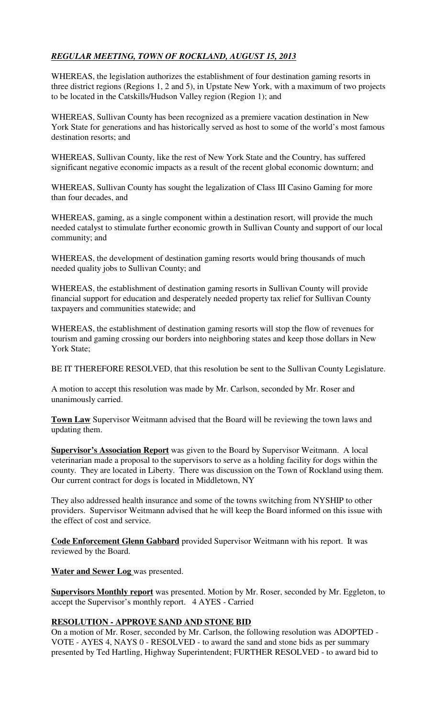# *REGULAR MEETING, TOWN OF ROCKLAND, AUGUST 15, 2013*

WHEREAS, the legislation authorizes the establishment of four destination gaming resorts in three district regions (Regions 1, 2 and 5), in Upstate New York, with a maximum of two projects to be located in the Catskills/Hudson Valley region (Region 1); and

WHEREAS, Sullivan County has been recognized as a premiere vacation destination in New York State for generations and has historically served as host to some of the world's most famous destination resorts; and

WHEREAS, Sullivan County, like the rest of New York State and the Country, has suffered significant negative economic impacts as a result of the recent global economic downturn; and

WHEREAS, Sullivan County has sought the legalization of Class III Casino Gaming for more than four decades, and

WHEREAS, gaming, as a single component within a destination resort, will provide the much needed catalyst to stimulate further economic growth in Sullivan County and support of our local community; and

WHEREAS, the development of destination gaming resorts would bring thousands of much needed quality jobs to Sullivan County; and

WHEREAS, the establishment of destination gaming resorts in Sullivan County will provide financial support for education and desperately needed property tax relief for Sullivan County taxpayers and communities statewide; and

WHEREAS, the establishment of destination gaming resorts will stop the flow of revenues for tourism and gaming crossing our borders into neighboring states and keep those dollars in New York State;

BE IT THEREFORE RESOLVED, that this resolution be sent to the Sullivan County Legislature.

A motion to accept this resolution was made by Mr. Carlson, seconded by Mr. Roser and unanimously carried.

**Town Law** Supervisor Weitmann advised that the Board will be reviewing the town laws and updating them.

**Supervisor's Association Report** was given to the Board by Supervisor Weitmann. A local veterinarian made a proposal to the supervisors to serve as a holding facility for dogs within the county. They are located in Liberty. There was discussion on the Town of Rockland using them. Our current contract for dogs is located in Middletown, NY

They also addressed health insurance and some of the towns switching from NYSHIP to other providers. Supervisor Weitmann advised that he will keep the Board informed on this issue with the effect of cost and service.

**Code Enforcement Glenn Gabbard** provided Supervisor Weitmann with his report. It was reviewed by the Board.

**Water and Sewer Log** was presented.

**Supervisors Monthly report** was presented. Motion by Mr. Roser, seconded by Mr. Eggleton, to accept the Supervisor's monthly report. 4 AYES - Carried

# **RESOLUTION - APPROVE SAND AND STONE BID**

On a motion of Mr. Roser, seconded by Mr. Carlson, the following resolution was ADOPTED - VOTE - AYES 4, NAYS 0 - RESOLVED - to award the sand and stone bids as per summary presented by Ted Hartling, Highway Superintendent; FURTHER RESOLVED - to award bid to